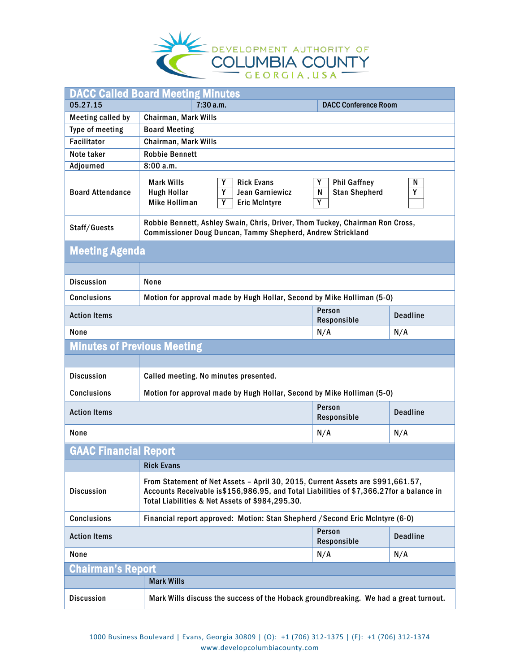

| <b>DACC Called Board Meeting Minutes</b>     |                                                                                                                                                                                                                               |                                                            |                 |
|----------------------------------------------|-------------------------------------------------------------------------------------------------------------------------------------------------------------------------------------------------------------------------------|------------------------------------------------------------|-----------------|
| 05.27.15                                     | 7:30a.m.                                                                                                                                                                                                                      | <b>DACC Conference Room</b>                                |                 |
| <b>Meeting called by</b>                     | Chairman, Mark Wills                                                                                                                                                                                                          |                                                            |                 |
| Type of meeting                              | <b>Board Meeting</b>                                                                                                                                                                                                          |                                                            |                 |
| <b>Facilitator</b>                           | Chairman, Mark Wills                                                                                                                                                                                                          |                                                            |                 |
| Note taker                                   | <b>Robbie Bennett</b>                                                                                                                                                                                                         |                                                            |                 |
| <b>Adjourned</b>                             | 8:00a.m.                                                                                                                                                                                                                      |                                                            |                 |
| <b>Board Attendance</b>                      | <b>Mark Wills</b><br>Y<br><b>Rick Evans</b><br>Y<br>Jean Garniewicz<br><b>Hugh Hollar</b><br><b>Mike Holliman</b><br>Y<br><b>Eric McIntyre</b>                                                                                | Y<br><b>Phil Gaffney</b><br><b>Stan Shepherd</b><br>N<br>Y | N<br>Ÿ          |
| Staff/Guests                                 | Robbie Bennett, Ashley Swain, Chris, Driver, Thom Tuckey, Chairman Ron Cross,<br><b>Commissioner Doug Duncan, Tammy Shepherd, Andrew Strickland</b>                                                                           |                                                            |                 |
| <b>Meeting Agenda</b>                        |                                                                                                                                                                                                                               |                                                            |                 |
|                                              |                                                                                                                                                                                                                               |                                                            |                 |
| <b>Discussion</b>                            | None                                                                                                                                                                                                                          |                                                            |                 |
| <b>Conclusions</b>                           | Motion for approval made by Hugh Hollar, Second by Mike Holliman (5-0)                                                                                                                                                        |                                                            |                 |
| Person<br><b>Action Items</b><br>Responsible |                                                                                                                                                                                                                               | <b>Deadline</b>                                            |                 |
| None<br>N/A                                  |                                                                                                                                                                                                                               | N/A                                                        |                 |
| <b>Minutes of Previous Meeting</b>           |                                                                                                                                                                                                                               |                                                            |                 |
|                                              |                                                                                                                                                                                                                               |                                                            |                 |
| <b>Discussion</b>                            | Called meeting. No minutes presented.                                                                                                                                                                                         |                                                            |                 |
| <b>Conclusions</b>                           | Motion for approval made by Hugh Hollar, Second by Mike Holliman (5-0)                                                                                                                                                        |                                                            |                 |
| <b>Action Items</b>                          |                                                                                                                                                                                                                               | Person<br>Responsible                                      | <b>Deadline</b> |
| None<br>N/A<br>N/A                           |                                                                                                                                                                                                                               |                                                            |                 |
| <b>GAAC Financial Report</b>                 |                                                                                                                                                                                                                               |                                                            |                 |
|                                              | <b>Rick Evans</b>                                                                                                                                                                                                             |                                                            |                 |
| <b>Discussion</b>                            | From Statement of Net Assets - April 30, 2015, Current Assets are \$991,661.57,<br>Accounts Receivable is\$156,986.95, and Total Liabilities of \$7,366.27for a balance in<br>Total Liabilities & Net Assets of \$984,295.30. |                                                            |                 |
| <b>Conclusions</b>                           | Financial report approved: Motion: Stan Shepherd / Second Eric McIntyre (6-0)                                                                                                                                                 |                                                            |                 |
| Person<br><b>Action Items</b><br>Responsible |                                                                                                                                                                                                                               | <b>Deadline</b>                                            |                 |
| None<br>N/A<br>N/A                           |                                                                                                                                                                                                                               |                                                            |                 |
| <b>Chairman's Report</b>                     |                                                                                                                                                                                                                               |                                                            |                 |
|                                              | <b>Mark Wills</b>                                                                                                                                                                                                             |                                                            |                 |
| <b>Discussion</b>                            | Mark Wills discuss the success of the Hoback groundbreaking. We had a great turnout.                                                                                                                                          |                                                            |                 |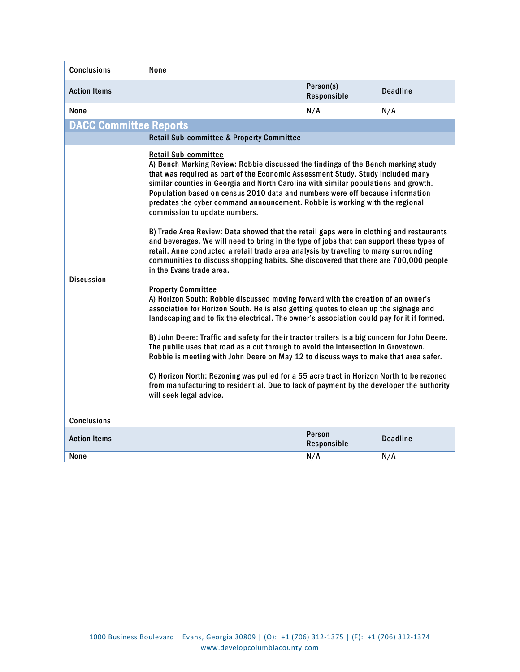| <b>Conclusions</b>                                              | None                                                                                                                                                                                                                                                                                                                                                                                                                                                                                                                                                                                                                                                                                                                                                                                                                                                                                                                                                                                                                                                                                                                                                                                                                                                                                                                                                                                                                                                                                                                                                                                                                                                                                                      |                          |                 |
|-----------------------------------------------------------------|-----------------------------------------------------------------------------------------------------------------------------------------------------------------------------------------------------------------------------------------------------------------------------------------------------------------------------------------------------------------------------------------------------------------------------------------------------------------------------------------------------------------------------------------------------------------------------------------------------------------------------------------------------------------------------------------------------------------------------------------------------------------------------------------------------------------------------------------------------------------------------------------------------------------------------------------------------------------------------------------------------------------------------------------------------------------------------------------------------------------------------------------------------------------------------------------------------------------------------------------------------------------------------------------------------------------------------------------------------------------------------------------------------------------------------------------------------------------------------------------------------------------------------------------------------------------------------------------------------------------------------------------------------------------------------------------------------------|--------------------------|-----------------|
| <b>Action Items</b>                                             |                                                                                                                                                                                                                                                                                                                                                                                                                                                                                                                                                                                                                                                                                                                                                                                                                                                                                                                                                                                                                                                                                                                                                                                                                                                                                                                                                                                                                                                                                                                                                                                                                                                                                                           | Person(s)<br>Responsible | <b>Deadline</b> |
| None                                                            |                                                                                                                                                                                                                                                                                                                                                                                                                                                                                                                                                                                                                                                                                                                                                                                                                                                                                                                                                                                                                                                                                                                                                                                                                                                                                                                                                                                                                                                                                                                                                                                                                                                                                                           | N/A                      | N/A             |
| <b>DACC Committee Reports</b>                                   |                                                                                                                                                                                                                                                                                                                                                                                                                                                                                                                                                                                                                                                                                                                                                                                                                                                                                                                                                                                                                                                                                                                                                                                                                                                                                                                                                                                                                                                                                                                                                                                                                                                                                                           |                          |                 |
|                                                                 | <b>Retail Sub-committee &amp; Property Committee</b>                                                                                                                                                                                                                                                                                                                                                                                                                                                                                                                                                                                                                                                                                                                                                                                                                                                                                                                                                                                                                                                                                                                                                                                                                                                                                                                                                                                                                                                                                                                                                                                                                                                      |                          |                 |
| <b>Discussion</b>                                               | <b>Retail Sub-committee</b><br>A) Bench Marking Review: Robbie discussed the findings of the Bench marking study<br>that was required as part of the Economic Assessment Study. Study included many<br>similar counties in Georgia and North Carolina with similar populations and growth.<br>Population based on census 2010 data and numbers were off because information<br>predates the cyber command announcement. Robbie is working with the regional<br>commission to update numbers.<br>B) Trade Area Review: Data showed that the retail gaps were in clothing and restaurants<br>and beverages. We will need to bring in the type of jobs that can support these types of<br>retail. Anne conducted a retail trade area analysis by traveling to many surrounding<br>communities to discuss shopping habits. She discovered that there are 700,000 people<br>in the Evans trade area.<br><b>Property Committee</b><br>A) Horizon South: Robbie discussed moving forward with the creation of an owner's<br>association for Horizon South. He is also getting quotes to clean up the signage and<br>landscaping and to fix the electrical. The owner's association could pay for it if formed.<br>B) John Deere: Traffic and safety for their tractor trailers is a big concern for John Deere.<br>The public uses that road as a cut through to avoid the intersection in Grovetown.<br>Robbie is meeting with John Deere on May 12 to discuss ways to make that area safer.<br>C) Horizon North: Rezoning was pulled for a 55 acre tract in Horizon North to be rezoned<br>from manufacturing to residential. Due to lack of payment by the developer the authority<br>will seek legal advice. |                          |                 |
| <b>Conclusions</b>                                              |                                                                                                                                                                                                                                                                                                                                                                                                                                                                                                                                                                                                                                                                                                                                                                                                                                                                                                                                                                                                                                                                                                                                                                                                                                                                                                                                                                                                                                                                                                                                                                                                                                                                                                           |                          |                 |
| Person<br><b>Deadline</b><br><b>Action Items</b><br>Responsible |                                                                                                                                                                                                                                                                                                                                                                                                                                                                                                                                                                                                                                                                                                                                                                                                                                                                                                                                                                                                                                                                                                                                                                                                                                                                                                                                                                                                                                                                                                                                                                                                                                                                                                           |                          |                 |
| None                                                            |                                                                                                                                                                                                                                                                                                                                                                                                                                                                                                                                                                                                                                                                                                                                                                                                                                                                                                                                                                                                                                                                                                                                                                                                                                                                                                                                                                                                                                                                                                                                                                                                                                                                                                           | N/A                      | N/A             |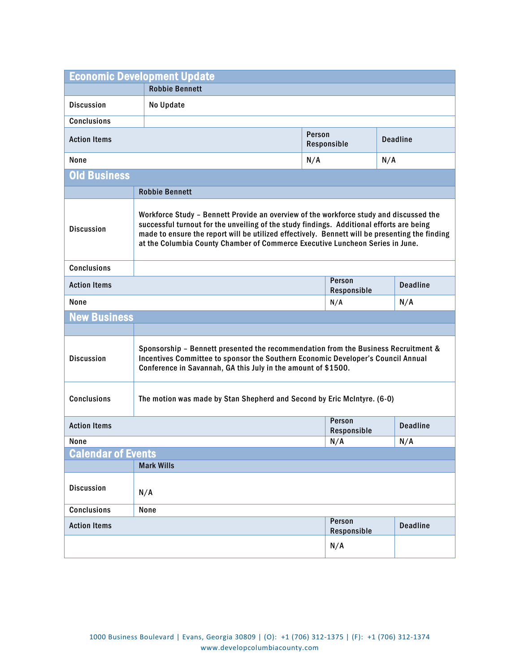| <b>Economic Development Update</b>                                                            |                                                                                                                                                                                                                                                                                                                                                                       |             |                       |     |                 |
|-----------------------------------------------------------------------------------------------|-----------------------------------------------------------------------------------------------------------------------------------------------------------------------------------------------------------------------------------------------------------------------------------------------------------------------------------------------------------------------|-------------|-----------------------|-----|-----------------|
|                                                                                               | <b>Robbie Bennett</b>                                                                                                                                                                                                                                                                                                                                                 |             |                       |     |                 |
| <b>Discussion</b>                                                                             | No Update                                                                                                                                                                                                                                                                                                                                                             |             |                       |     |                 |
| <b>Conclusions</b>                                                                            |                                                                                                                                                                                                                                                                                                                                                                       |             |                       |     |                 |
| Person<br><b>Action Items</b>                                                                 |                                                                                                                                                                                                                                                                                                                                                                       | Responsible | <b>Deadline</b>       |     |                 |
| None<br>N/A                                                                                   |                                                                                                                                                                                                                                                                                                                                                                       |             | N/A                   |     |                 |
| <b>Old Business</b>                                                                           |                                                                                                                                                                                                                                                                                                                                                                       |             |                       |     |                 |
|                                                                                               | <b>Robbie Bennett</b>                                                                                                                                                                                                                                                                                                                                                 |             |                       |     |                 |
| <b>Discussion</b>                                                                             | Workforce Study - Bennett Provide an overview of the workforce study and discussed the<br>successful turnout for the unveiling of the study findings. Additional efforts are being<br>made to ensure the report will be utilized effectively. Bennett will be presenting the finding<br>at the Columbia County Chamber of Commerce Executive Luncheon Series in June. |             |                       |     |                 |
| <b>Conclusions</b>                                                                            |                                                                                                                                                                                                                                                                                                                                                                       |             |                       |     |                 |
| Person<br><b>Action Items</b><br>Responsible                                                  |                                                                                                                                                                                                                                                                                                                                                                       |             | <b>Deadline</b>       |     |                 |
| None<br>N/A                                                                                   |                                                                                                                                                                                                                                                                                                                                                                       |             |                       | N/A |                 |
| <b>New Business</b>                                                                           |                                                                                                                                                                                                                                                                                                                                                                       |             |                       |     |                 |
|                                                                                               |                                                                                                                                                                                                                                                                                                                                                                       |             |                       |     |                 |
| <b>Discussion</b>                                                                             | Sponsorship - Bennett presented the recommendation from the Business Recruitment &<br>Incentives Committee to sponsor the Southern Economic Developer's Council Annual<br>Conference in Savannah, GA this July in the amount of \$1500.                                                                                                                               |             |                       |     |                 |
| <b>Conclusions</b><br>The motion was made by Stan Shepherd and Second by Eric McIntyre. (6-0) |                                                                                                                                                                                                                                                                                                                                                                       |             |                       |     |                 |
| <b>Action Items</b>                                                                           |                                                                                                                                                                                                                                                                                                                                                                       |             | Person<br>Responsible |     | <b>Deadline</b> |
| None                                                                                          |                                                                                                                                                                                                                                                                                                                                                                       | N/A         |                       | N/A |                 |
| <b>Calendar of Events</b>                                                                     |                                                                                                                                                                                                                                                                                                                                                                       |             |                       |     |                 |
|                                                                                               | <b>Mark Wills</b>                                                                                                                                                                                                                                                                                                                                                     |             |                       |     |                 |
| <b>Discussion</b>                                                                             | N/A                                                                                                                                                                                                                                                                                                                                                                   |             |                       |     |                 |
| Conclusions                                                                                   | None                                                                                                                                                                                                                                                                                                                                                                  |             |                       |     |                 |
| <b>Action Items</b>                                                                           |                                                                                                                                                                                                                                                                                                                                                                       |             | Person<br>Responsible |     | <b>Deadline</b> |
|                                                                                               |                                                                                                                                                                                                                                                                                                                                                                       |             | N/A                   |     |                 |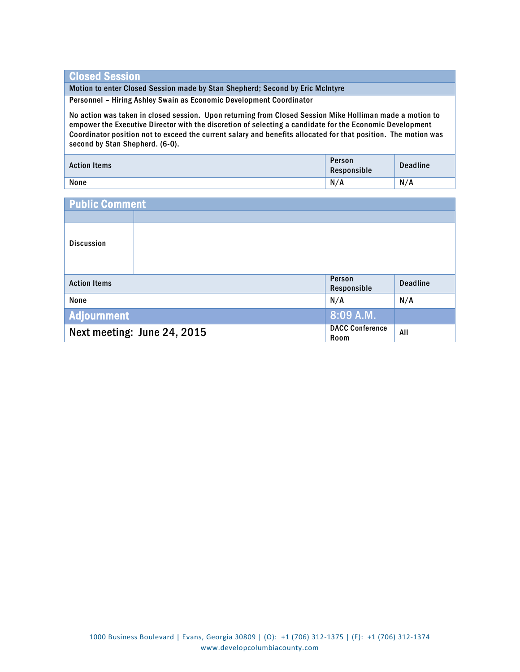## Closed Session

Motion to enter Closed Session made by Stan Shepherd; Second by Eric McIntyre

Personnel – Hiring Ashley Swain as Economic Development Coordinator

No action was taken in closed session. Upon returning from Closed Session Mike Holliman made a motion to empower the Executive Director with the discretion of selecting a candidate for the Economic Development Coordinator position not to exceed the current salary and benefits allocated for that position. The motion was second by Stan Shepherd. (6-0).

| <b>Action Items</b> | Person<br>Responsible | <b>Deadline</b> |
|---------------------|-----------------------|-----------------|
| None                | N/A                   | N/A             |

| <b>Public Comment</b> |                             |                                |                 |
|-----------------------|-----------------------------|--------------------------------|-----------------|
|                       |                             |                                |                 |
| <b>Discussion</b>     |                             |                                |                 |
| <b>Action Items</b>   |                             | Person<br>Responsible          | <b>Deadline</b> |
| None                  |                             | N/A                            | N/A             |
| <b>Adjournment</b>    |                             | 8:09 A.M.                      |                 |
|                       | Next meeting: June 24, 2015 | <b>DACC Conference</b><br>Room | All             |